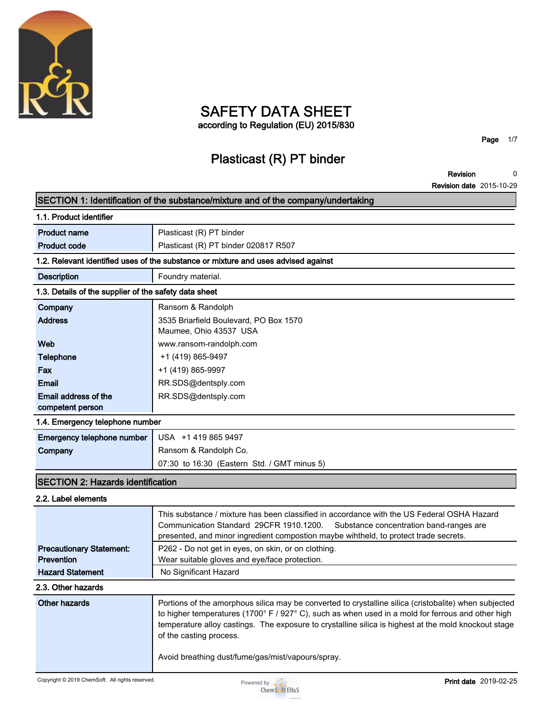

# **SAFETY DATA SHEET**

**according to Regulation (EU) 2015/830**

**Page 1/7**

# **Plasticast (R) PT binder**

**Revision 0**

**Revision date 2015-10-29**

|                                                       | SECTION 1: Identification of the substance/mixture and of the company/undertaking                                               |
|-------------------------------------------------------|---------------------------------------------------------------------------------------------------------------------------------|
| 1.1. Product identifier                               |                                                                                                                                 |
| <b>Product name</b>                                   | Plasticast (R) PT binder                                                                                                        |
| <b>Product code</b>                                   | Plasticast (R) PT binder 020817 R507                                                                                            |
|                                                       | 1.2. Relevant identified uses of the substance or mixture and uses advised against                                              |
| <b>Description</b>                                    | Foundry material.                                                                                                               |
| 1.3. Details of the supplier of the safety data sheet |                                                                                                                                 |
| Company                                               | Ransom & Randolph                                                                                                               |
| <b>Address</b>                                        | 3535 Briarfield Boulevard, PO Box 1570                                                                                          |
|                                                       | Maumee, Ohio 43537 USA                                                                                                          |
| Web                                                   | www.ransom-randolph.com                                                                                                         |
| <b>Telephone</b>                                      | +1 (419) 865-9497                                                                                                               |
| Fax                                                   | +1 (419) 865-9997                                                                                                               |
| Email                                                 | RR.SDS@dentsply.com                                                                                                             |
| Email address of the                                  | RR.SDS@dentsply.com                                                                                                             |
| competent person                                      |                                                                                                                                 |
| 1.4. Emergency telephone number                       |                                                                                                                                 |
| Emergency telephone number                            | USA +1 419 865 9497                                                                                                             |
| Company                                               | Ransom & Randolph Co.                                                                                                           |
|                                                       | 07:30 to 16:30 (Eastern Std. / GMT minus 5)                                                                                     |
| <b>SECTION 2: Hazards identification</b>              |                                                                                                                                 |
| 2.2. Label elements                                   |                                                                                                                                 |
|                                                       | This substance / mixture has been classified in accordance with the US Federal OSHA Hazard                                      |
|                                                       | Communication Standard 29CFR 1910.1200.<br>Substance concentration band-ranges are                                              |
|                                                       | presented, and minor ingredient compostion maybe wihtheld, to protect trade secrets.                                            |
| <b>Precautionary Statement:</b>                       | P262 - Do not get in eyes, on skin, or on clothing.                                                                             |
| Prevention                                            | Wear suitable gloves and eye/face protection.                                                                                   |
| <b>Hazard Statement</b>                               | No Significant Hazard                                                                                                           |
| 2.3. Other hazards                                    |                                                                                                                                 |
| <b>Other hazards</b>                                  | Portions of the amorphous silica may be converted to crystalline silica (cristobalite) when subjected                           |
|                                                       | to higher temperatures (1700° F / 927° C), such as when used in a mold for ferrous and other high                               |
|                                                       | temperature alloy castings. The exposure to crystalline silica is highest at the mold knockout stage<br>of the casting process. |
|                                                       |                                                                                                                                 |
|                                                       | Avoid breathing dust/fume/gas/mist/vapours/spray.                                                                               |
| Copyright © 2019 ChemSoft. All rights reserved.       | <b>Print date</b> 2019-02-25<br>Powered by $\sim$                                                                               |
|                                                       |                                                                                                                                 |

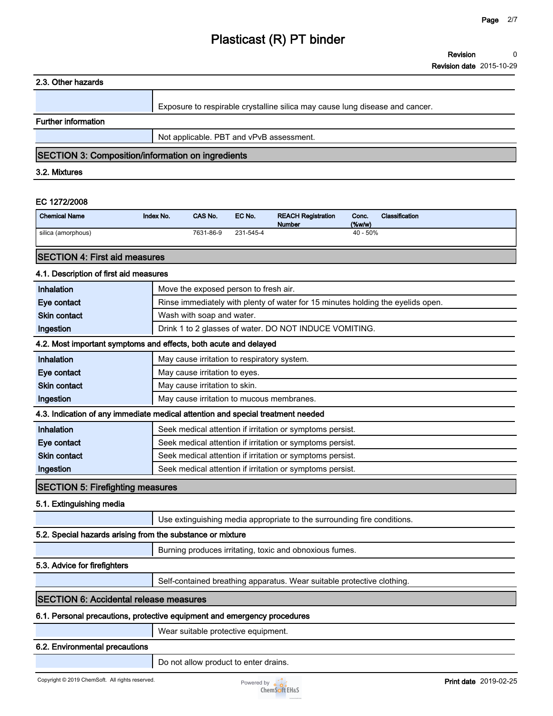#### **Revision 0**

**Revision date 2015-10-29**

|                                                                                 |           |                                             |           |                                                                                 |                 | <b>Revision date ZUT3-TU-ZS</b> |
|---------------------------------------------------------------------------------|-----------|---------------------------------------------|-----------|---------------------------------------------------------------------------------|-----------------|---------------------------------|
| 2.3. Other hazards                                                              |           |                                             |           |                                                                                 |                 |                                 |
|                                                                                 |           |                                             |           | Exposure to respirable crystalline silica may cause lung disease and cancer.    |                 |                                 |
| <b>Further information</b>                                                      |           |                                             |           |                                                                                 |                 |                                 |
|                                                                                 |           | Not applicable. PBT and vPvB assessment.    |           |                                                                                 |                 |                                 |
| <b>SECTION 3: Composition/information on ingredients</b>                        |           |                                             |           |                                                                                 |                 |                                 |
| 3.2. Mixtures                                                                   |           |                                             |           |                                                                                 |                 |                                 |
|                                                                                 |           |                                             |           |                                                                                 |                 |                                 |
| EC 1272/2008                                                                    |           |                                             |           |                                                                                 |                 |                                 |
| <b>Chemical Name</b>                                                            | Index No. | CAS No.                                     | EC No.    | <b>REACH Registration</b><br><b>Number</b>                                      | Conc.<br>(%w/w) | Classification                  |
| silica (amorphous)                                                              |           | 7631-86-9                                   | 231-545-4 |                                                                                 | 40 - 50%        |                                 |
| <b>SECTION 4: First aid measures</b>                                            |           |                                             |           |                                                                                 |                 |                                 |
| 4.1. Description of first aid measures                                          |           |                                             |           |                                                                                 |                 |                                 |
| Inhalation                                                                      |           | Move the exposed person to fresh air.       |           |                                                                                 |                 |                                 |
| Eye contact                                                                     |           |                                             |           | Rinse immediately with plenty of water for 15 minutes holding the eyelids open. |                 |                                 |
| <b>Skin contact</b>                                                             |           | Wash with soap and water.                   |           |                                                                                 |                 |                                 |
| Ingestion                                                                       |           |                                             |           | Drink 1 to 2 glasses of water. DO NOT INDUCE VOMITING.                          |                 |                                 |
| 4.2. Most important symptoms and effects, both acute and delayed                |           |                                             |           |                                                                                 |                 |                                 |
| Inhalation                                                                      |           | May cause irritation to respiratory system. |           |                                                                                 |                 |                                 |
| Eye contact                                                                     |           | May cause irritation to eyes.               |           |                                                                                 |                 |                                 |
| <b>Skin contact</b>                                                             |           | May cause irritation to skin.               |           |                                                                                 |                 |                                 |
| Ingestion                                                                       |           |                                             |           | May cause irritation to mucous membranes.                                       |                 |                                 |
| 4.3. Indication of any immediate medical attention and special treatment needed |           |                                             |           |                                                                                 |                 |                                 |
| Inhalation                                                                      |           |                                             |           | Seek medical attention if irritation or symptoms persist.                       |                 |                                 |
| Eye contact                                                                     |           |                                             |           | Seek medical attention if irritation or symptoms persist.                       |                 |                                 |
| <b>Skin contact</b>                                                             |           |                                             |           | Seek medical attention if irritation or symptoms persist.                       |                 |                                 |
| Ingestion                                                                       |           |                                             |           | Seek medical attention if irritation or symptoms persist.                       |                 |                                 |
| <b>SECTION 5: Firefighting measures</b>                                         |           |                                             |           |                                                                                 |                 |                                 |
| 5.1. Extinguishing media                                                        |           |                                             |           |                                                                                 |                 |                                 |
|                                                                                 |           |                                             |           | Use extinguishing media appropriate to the surrounding fire conditions.         |                 |                                 |
| 5.2. Special hazards arising from the substance or mixture                      |           |                                             |           |                                                                                 |                 |                                 |
|                                                                                 |           |                                             |           | Burning produces irritating, toxic and obnoxious fumes.                         |                 |                                 |
| 5.3. Advice for firefighters                                                    |           |                                             |           |                                                                                 |                 |                                 |
|                                                                                 |           |                                             |           | Self-contained breathing apparatus. Wear suitable protective clothing.          |                 |                                 |
| <b>SECTION 6: Accidental release measures</b>                                   |           |                                             |           |                                                                                 |                 |                                 |
| 6.1. Personal precautions, protective equipment and emergency procedures        |           |                                             |           |                                                                                 |                 |                                 |
|                                                                                 |           | Wear suitable protective equipment.         |           |                                                                                 |                 |                                 |
| 6.2. Environmental precautions                                                  |           |                                             |           |                                                                                 |                 |                                 |
|                                                                                 |           |                                             |           |                                                                                 |                 |                                 |

**Do not allow product to enter drains.**

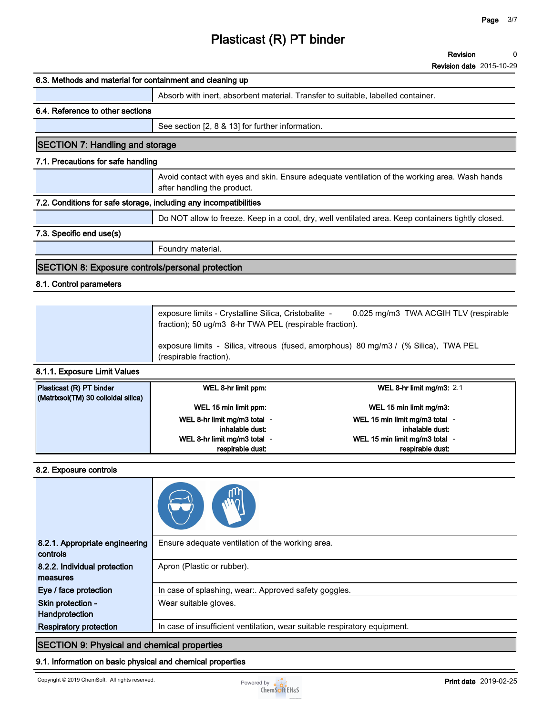**Revision 0**

**Revision date 2015-10-29**

### **6.3. Methods and material for containment and cleaning up**

**Absorb with inert, absorbent material. Transfer to suitable, labelled container.**

### **6.4. Reference to other sections**

**See section [2, 8 & 13] for further information.**

### **SECTION 7: Handling and storage**

### **7.1. Precautions for safe handling**

**Avoid contact with eyes and skin. Ensure adequate ventilation of the working area. Wash hands after handling the product.**

### **7.2. Conditions for safe storage, including any incompatibilities**

**Do NOT allow to freeze. Keep in a cool, dry, well ventilated area. Keep containers tightly closed.**

### **7.3. Specific end use(s)**

**Foundry material.**

### **SECTION 8: Exposure controls/personal protection**

### **8.1. Control parameters**

| exposure limits - Crystalline Silica, Cristobalite - 0.025 mg/m3 TWA ACGIH TLV (respirable<br>fraction); 50 ug/m3 8-hr TWA PEL (respirable fraction). |
|-------------------------------------------------------------------------------------------------------------------------------------------------------|
| exposure limits - Silica, vitreous (fused, amorphous) 80 mg/m3 / (% Silica), TWA PEL<br>(respirable fraction).                                        |

### **8.1.1. Exposure Limit Values**

| Plasticast (R) PT binder            | WEL 8-hr limit ppm:        | WEL 8-hr limit mg/m3: $2.1$  |
|-------------------------------------|----------------------------|------------------------------|
| (Matrixsol(TM) 30 colloidal silica) |                            |                              |
|                                     | WEL 15 min limit ppm:      | WEL 15 min limit mg/m3:      |
|                                     | WEL 8-hr limit mg/m3 total | WEL 15 min limit mg/m3 total |
|                                     | inhalable dust:            | inhalable dust:              |
|                                     | WEL 8-hr limit mg/m3 total | WEL 15 min limit mg/m3 total |
|                                     | respirable dust:           | respirable dust:             |

### **8.2. Exposure controls**

| 8.2.1. Appropriate engineering<br>controls | Ensure adequate ventilation of the working area.                          |
|--------------------------------------------|---------------------------------------------------------------------------|
| 8.2.2. Individual protection<br>measures   | Apron (Plastic or rubber).                                                |
| Eye / face protection                      | In case of splashing, wear:. Approved safety goggles.                     |
| Skin protection -<br>Handprotection        | Wear suitable gloves.                                                     |
| <b>Respiratory protection</b>              | In case of insufficient ventilation, wear suitable respiratory equipment. |
|                                            |                                                                           |

### **SECTION 9: Physical and chemical properties**

### **9.1. Information on basic physical and chemical properties**

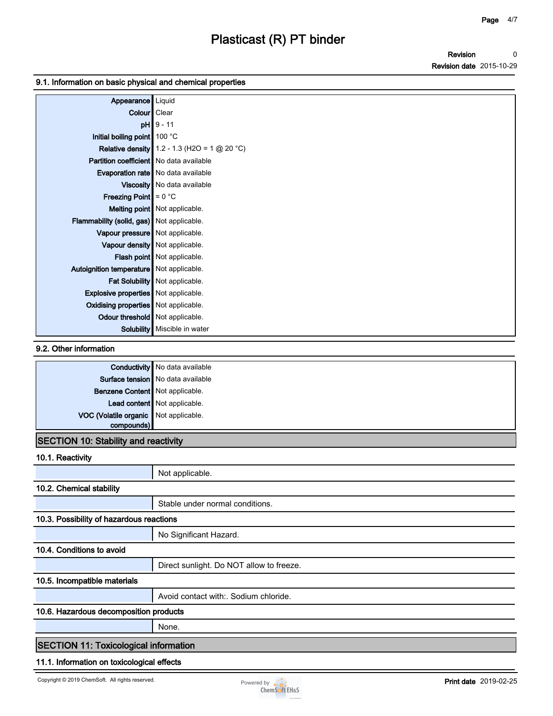**Revision Revision date 2015-10-29 0**

### **9.1. Information on basic physical and chemical properties**

| Appearance   Liquid                         |                                                       |
|---------------------------------------------|-------------------------------------------------------|
| Colour   Clear                              |                                                       |
|                                             | $pH$   9 - 11                                         |
| Initial boiling point 100 °C                |                                                       |
|                                             | <b>Relative density</b> $1.2 - 1.3$ (H2O = 1 @ 20 °C) |
| Partition coefficient   No data available   |                                                       |
|                                             | Evaporation rate   No data available                  |
|                                             | Viscosity   No data available                         |
| Freezing Point $\approx 0$ °C               |                                                       |
|                                             | Melting point Not applicable.                         |
| Flammability (solid, gas) Not applicable.   |                                                       |
| Vapour pressure   Not applicable.           |                                                       |
| Vapour density   Not applicable.            |                                                       |
|                                             | Flash point   Not applicable.                         |
| Autoignition temperature   Not applicable.  |                                                       |
|                                             | Fat Solubility   Not applicable.                      |
| <b>Explosive properties</b> Not applicable. |                                                       |
| Oxidising properties   Not applicable.      |                                                       |
| Odour threshold   Not applicable.           |                                                       |
|                                             | Solubility   Miscible in water                        |

### **9.2. Other information**

|                                                     | <b>Conductivity</b> No data available |
|-----------------------------------------------------|---------------------------------------|
|                                                     | Surface tension   No data available   |
| Benzene Content Not applicable.                     |                                       |
|                                                     | Lead content Not applicable.          |
| VOC (Volatile organic Not applicable.<br>compounds) |                                       |
|                                                     |                                       |

## **SECTION 10: Stability and reactivity**

**10.1. Reactivity**

|                                              | Not applicable.                            |  |
|----------------------------------------------|--------------------------------------------|--|
| 10.2. Chemical stability                     |                                            |  |
|                                              | Stable under normal conditions.            |  |
| 10.3. Possibility of hazardous reactions     |                                            |  |
|                                              | No Significant Hazard.                     |  |
| 10.4. Conditions to avoid                    |                                            |  |
|                                              | Direct sunlight. Do NOT allow to freeze.   |  |
| 10.5. Incompatible materials                 |                                            |  |
|                                              | Avoid contact with: Sodium chloride.       |  |
| 10.6. Hazardous decomposition products       |                                            |  |
|                                              | None.                                      |  |
| <b>SECTION 11: Toxicological information</b> |                                            |  |
|                                              | 11.1. Information on toxicological effects |  |

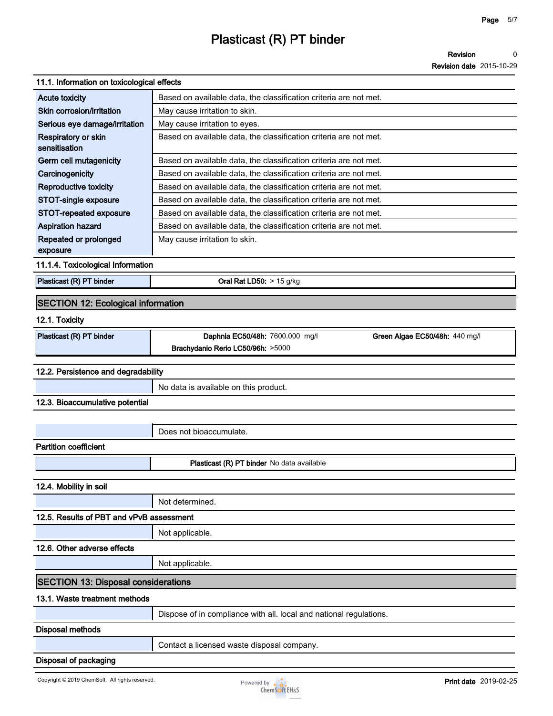**Revision 0**

**Revision date 2015-10-29**

|  | <b>Acute toxicity</b>     | Based on available data, the classification criteria are not met. |
|--|---------------------------|-------------------------------------------------------------------|
|  | Skin corrosion/irritation | May cause irritation to skin.                                     |
|  |                           |                                                                   |

**11.1. Information on toxicological effects**

| Skin corrosion/irritation            | May cause irritation to skin.                                     |
|--------------------------------------|-------------------------------------------------------------------|
| Serious eye damage/irritation        | May cause irritation to eyes.                                     |
| Respiratory or skin<br>sensitisation | Based on available data, the classification criteria are not met. |
| Germ cell mutagenicity               | Based on available data, the classification criteria are not met. |
| Carcinogenicity                      | Based on available data, the classification criteria are not met. |
| <b>Reproductive toxicity</b>         | Based on available data, the classification criteria are not met. |
| STOT-single exposure                 | Based on available data, the classification criteria are not met. |
| STOT-repeated exposure               | Based on available data, the classification criteria are not met. |
| <b>Aspiration hazard</b>             | Based on available data, the classification criteria are not met. |
| Repeated or prolonged                | May cause irritation to skin.                                     |
| exposure                             |                                                                   |

**11.1.4. Toxicological Information**

**Plasticast (R) PT binder Oral Rat LD50: > 15 g/kg**

### **SECTION 12: Ecological information**

### **12.1. Toxicity**

| Plasticast (R) PT binder | Daphnia EC50/48h: 7600.000 mg/l   | Green Algae EC50/48h: 440 mg/l |
|--------------------------|-----------------------------------|--------------------------------|
|                          | Brachydanio Rerio LC50/96h: >5000 |                                |

### **12.2. Persistence and degradability**

**No data is available on this product.**

### **12.3. Bioaccumulative potential**

**Does not bioaccumulate.**

### **Partition coefficient**

**Plasticast (R) PT binder No data available**

### **12.4. Mobility in soil**

**Not determined.**

### **12.5. Results of PBT and vPvB assessment**

**Not applicable.**

### **12.6. Other adverse effects**

**Not applicable.**

### **SECTION 13: Disposal considerations**

### **13.1. Waste treatment methods**

**Dispose of in compliance with all. local and national regulations.**

### **Disposal methods**

**Contact a licensed waste disposal company.**

### **Disposal of packaging**

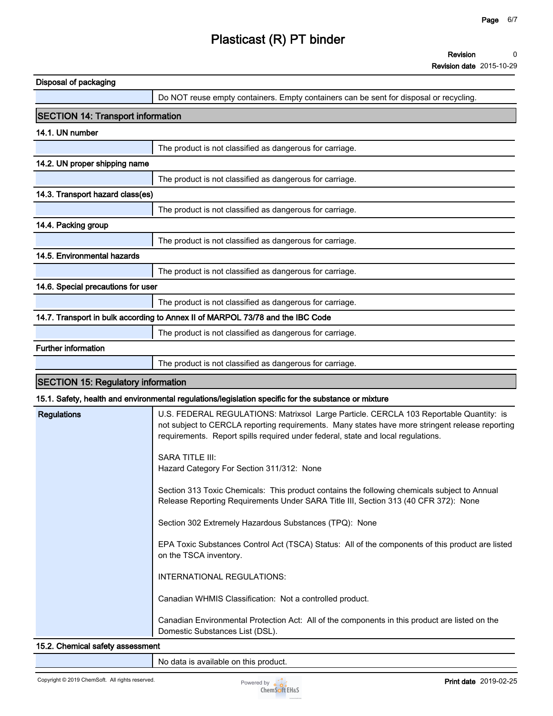#### **Revision 0**

**Revision date 2015-10-29**

| Disposal of packaging                     |                                                                                                                                                                                                                                                                               |
|-------------------------------------------|-------------------------------------------------------------------------------------------------------------------------------------------------------------------------------------------------------------------------------------------------------------------------------|
|                                           | Do NOT reuse empty containers. Empty containers can be sent for disposal or recycling.                                                                                                                                                                                        |
| <b>SECTION 14: Transport information</b>  |                                                                                                                                                                                                                                                                               |
| 14.1. UN number                           |                                                                                                                                                                                                                                                                               |
|                                           | The product is not classified as dangerous for carriage.                                                                                                                                                                                                                      |
| 14.2. UN proper shipping name             |                                                                                                                                                                                                                                                                               |
|                                           | The product is not classified as dangerous for carriage.                                                                                                                                                                                                                      |
| 14.3. Transport hazard class(es)          |                                                                                                                                                                                                                                                                               |
|                                           | The product is not classified as dangerous for carriage.                                                                                                                                                                                                                      |
| 14.4. Packing group                       |                                                                                                                                                                                                                                                                               |
|                                           | The product is not classified as dangerous for carriage.                                                                                                                                                                                                                      |
| 14.5. Environmental hazards               |                                                                                                                                                                                                                                                                               |
|                                           | The product is not classified as dangerous for carriage.                                                                                                                                                                                                                      |
| 14.6. Special precautions for user        |                                                                                                                                                                                                                                                                               |
|                                           | The product is not classified as dangerous for carriage.                                                                                                                                                                                                                      |
|                                           | 14.7. Transport in bulk according to Annex II of MARPOL 73/78 and the IBC Code                                                                                                                                                                                                |
|                                           | The product is not classified as dangerous for carriage.                                                                                                                                                                                                                      |
| <b>Further information</b>                |                                                                                                                                                                                                                                                                               |
|                                           | The product is not classified as dangerous for carriage.                                                                                                                                                                                                                      |
| <b>SECTION 15: Regulatory information</b> |                                                                                                                                                                                                                                                                               |
|                                           | 15.1. Safety, health and environmental regulations/legislation specific for the substance or mixture                                                                                                                                                                          |
| <b>Regulations</b>                        | U.S. FEDERAL REGULATIONS: Matrixsol Large Particle. CERCLA 103 Reportable Quantity: is<br>not subject to CERCLA reporting requirements. Many states have more stringent release reporting<br>requirements. Report spills required under federal, state and local regulations. |
|                                           | <b>SARA TITLE III:</b><br>Hazard Category For Section 311/312: None                                                                                                                                                                                                           |
|                                           | Section 313 Toxic Chemicals: This product contains the following chemicals subject to Annual<br>Release Reporting Requirements Under SARA Title III, Section 313 (40 CFR 372): None                                                                                           |
|                                           | Section 302 Extremely Hazardous Substances (TPQ): None                                                                                                                                                                                                                        |
|                                           | EPA Toxic Substances Control Act (TSCA) Status: All of the components of this product are listed<br>on the TSCA inventory.                                                                                                                                                    |
|                                           | INTERNATIONAL REGULATIONS:                                                                                                                                                                                                                                                    |
|                                           | Canadian WHMIS Classification: Not a controlled product.                                                                                                                                                                                                                      |
|                                           | Canadian Environmental Protection Act: All of the components in this product are listed on the<br>Domestic Substances List (DSL).                                                                                                                                             |

### **15.2. Chemical safety assessment**

**No data is available on this product.**